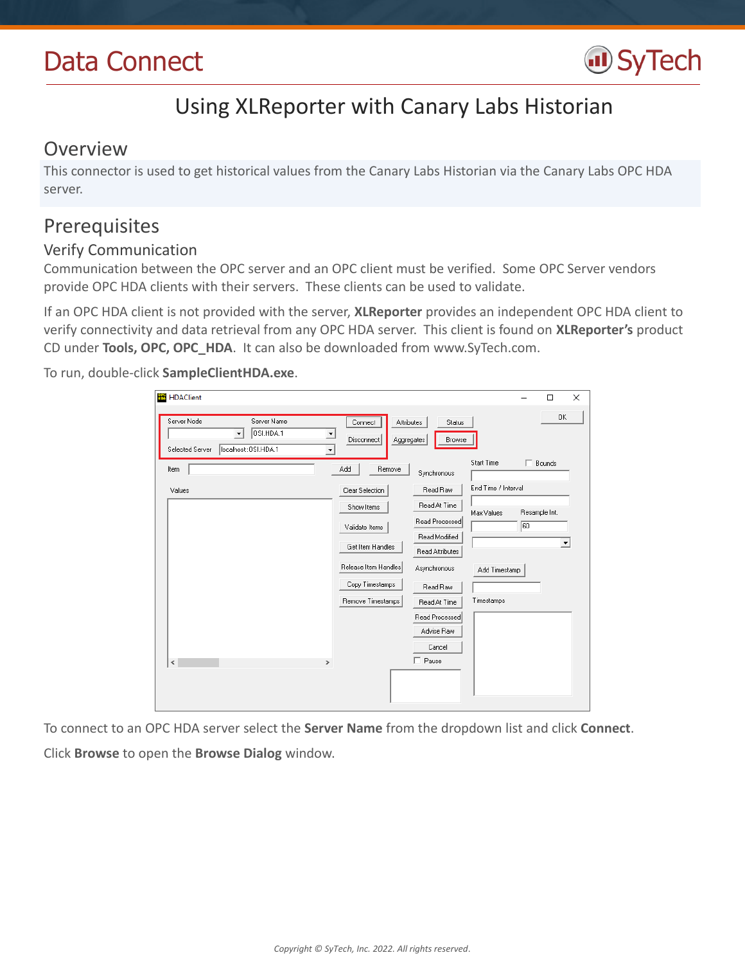# Data Connect



## Using XLReporter with Canary Labs Historian

### Overview

This connector is used to get historical values from the Canary Labs Historian via the Canary Labs OPC HDA server.

## Prerequisites

#### Verify Communication

Communication between the OPC server and an OPC client must be verified. Some OPC Server vendors provide OPC HDA clients with their servers. These clients can be used to validate.

If an OPC HDA client is not provided with the server, **XLReporter** provides an independent OPC HDA client to verify connectivity and data retrieval from any OPC HDA server. This client is found on **XLReporter's** product CD under **Tools, OPC, OPC\_HDA**. It can also be downloaded from www.SyTech.com.

To run, double-click **SampleClientHDA.exe**.

| <b>HDAClient</b>                                                                                                                    |                                                   |                                 |                     |               | $\Box$               | × |
|-------------------------------------------------------------------------------------------------------------------------------------|---------------------------------------------------|---------------------------------|---------------------|---------------|----------------------|---|
| Server Node<br>Server Name<br>OSI.HDA.1<br>$\blacktriangledown$<br>localhost:: OSI.HDA.1<br>Selected Server<br>$\blacktriangledown$ | Connect<br>Attributes<br>Disconnect<br>Aggregates | Status<br>Browse                |                     |               | 0K                   |   |
| Item                                                                                                                                | Remove<br>Add                                     | Synchronous                     | Start Time          | г.            | Bounds               |   |
| Values                                                                                                                              | Clear Selection                                   | Read Raw                        | End Time / Interval |               |                      |   |
|                                                                                                                                     | Show Items                                        | Read At Time                    | Max Values          | Resample Int. |                      |   |
|                                                                                                                                     | Validate Items                                    | Read Processed<br>Read Modified |                     | 60            |                      |   |
|                                                                                                                                     | Get Item Handles                                  | Read Attributes                 |                     |               | $\blacktriangledown$ |   |
|                                                                                                                                     | Release Item Handles                              | Asynchronous                    | Add Timestamp       |               |                      |   |
|                                                                                                                                     | Copy Timestamps<br>Remove Timestamps              | Read Raw<br>Read At Time        | Timestamps          |               |                      |   |
|                                                                                                                                     |                                                   | Read Processed                  |                     |               |                      |   |
|                                                                                                                                     |                                                   | Advise Raw                      |                     |               |                      |   |
| $\,<$<br>$\,$                                                                                                                       |                                                   | Cancel<br>$\Box$ Pause          |                     |               |                      |   |
|                                                                                                                                     |                                                   |                                 |                     |               |                      |   |

To connect to an OPC HDA server select the **Server Name** from the dropdown list and click **Connect**. Click **Browse** to open the **Browse Dialog** window.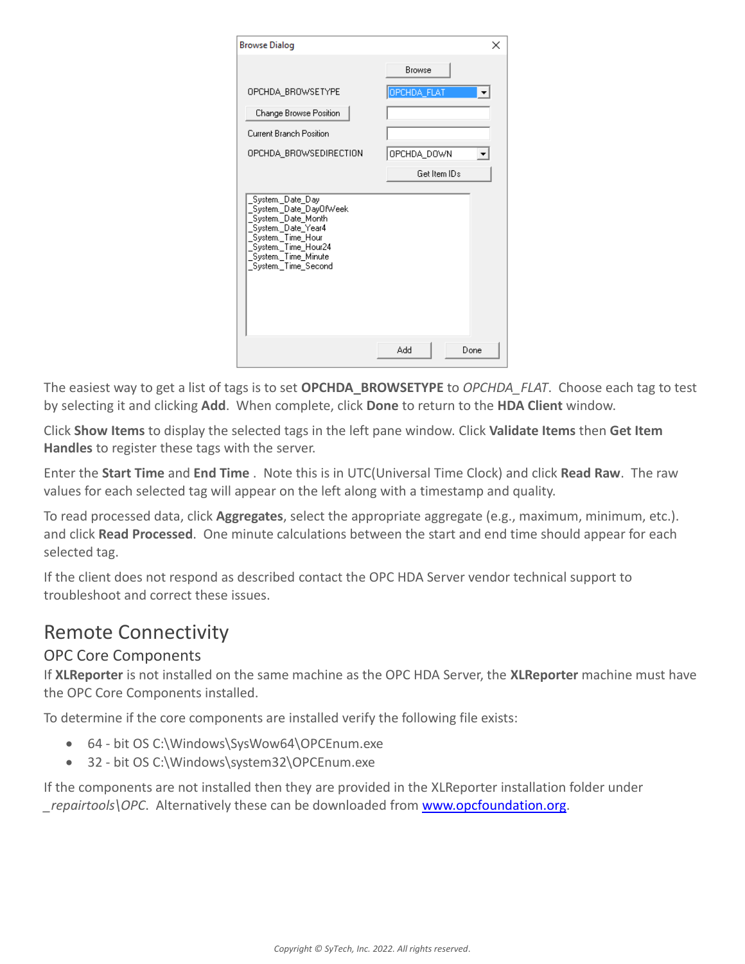| <b>Browse Dialog</b>                                                                                                                                                                                    |              |
|---------------------------------------------------------------------------------------------------------------------------------------------------------------------------------------------------------|--------------|
|                                                                                                                                                                                                         | Browse       |
| OPCHDA BROWSETYPE                                                                                                                                                                                       | OPCHDA_FLAT  |
| Change Browse Position                                                                                                                                                                                  |              |
| Current Branch Position                                                                                                                                                                                 |              |
| OPCHDA BROWSEDIRECTION                                                                                                                                                                                  | OPCHDA_DOWN  |
|                                                                                                                                                                                                         | Get Item IDs |
| System._Date_Day<br>System. Date_DayOfWeek<br>System, Date Month<br>System, Date_Year4<br>System. Time Hour<br>System._Time_Hour24<br>System._Time_Hour24<br>System._Time_Minute<br>System. Time Second |              |
|                                                                                                                                                                                                         | hhA<br>Done  |

The easiest way to get a list of tags is to set **OPCHDA\_BROWSETYPE** to *OPCHDA\_FLAT*. Choose each tag to test by selecting it and clicking **Add**. When complete, click **Done** to return to the **HDA Client** window.

Click **Show Items** to display the selected tags in the left pane window. Click **Validate Items** then **Get Item Handles** to register these tags with the server.

Enter the **Start Time** and **End Time** . Note this is in UTC(Universal Time Clock) and click **Read Raw**. The raw values for each selected tag will appear on the left along with a timestamp and quality.

To read processed data, click **Aggregates**, select the appropriate aggregate (e.g., maximum, minimum, etc.). and click **Read Processed**. One minute calculations between the start and end time should appear for each selected tag.

If the client does not respond as described contact the OPC HDA Server vendor technical support to troubleshoot and correct these issues.

## Remote Connectivity

#### OPC Core Components

If **XLReporter** is not installed on the same machine as the OPC HDA Server, the **XLReporter** machine must have the OPC Core Components installed.

To determine if the core components are installed verify the following file exists:

- 64 bit OS C:\Windows\SysWow64\OPCEnum.exe
- 32 bit OS C:\Windows\system32\OPCEnum.exe

If the components are not installed then they are provided in the XLReporter installation folder under repairtools\OPC. Alternatively these can be downloaded from [www.opcfoundation.org.](http://www.opcfoundation.org/)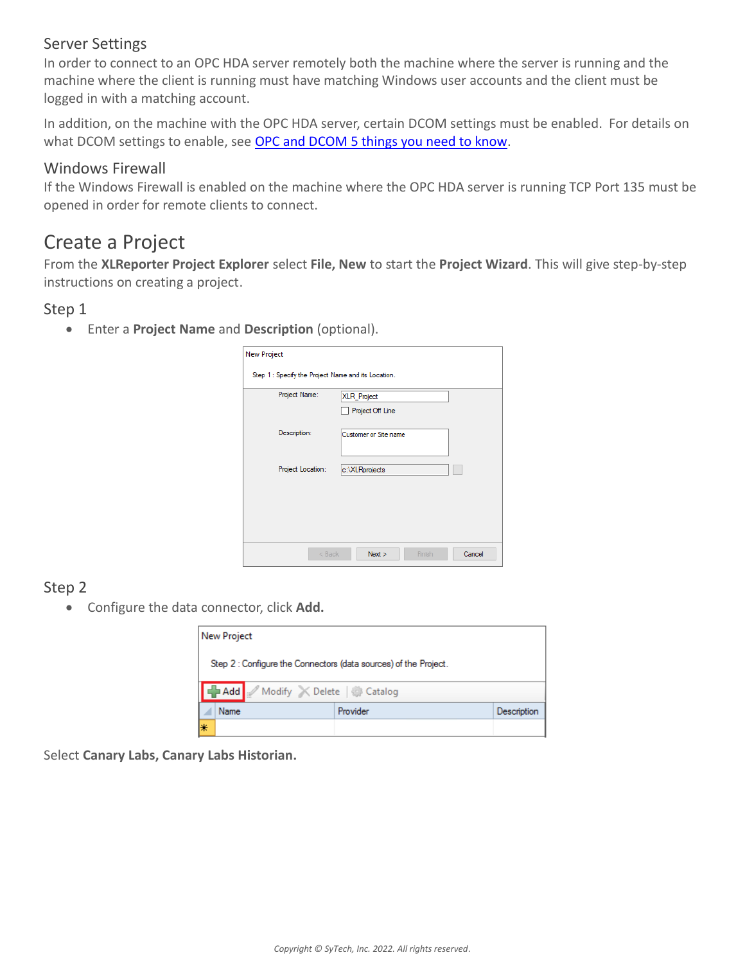#### Server Settings

In order to connect to an OPC HDA server remotely both the machine where the server is running and the machine where the client is running must have matching Windows user accounts and the client must be logged in with a matching account.

In addition, on the machine with the OPC HDA server, certain DCOM settings must be enabled. For details on what DCOM settings to enable, see [OPC and DCOM 5 things you need to know.](http://www.sytech.com/download/opc_and_dcom.pdf)

#### Windows Firewall

If the Windows Firewall is enabled on the machine where the OPC HDA server is running TCP Port 135 must be opened in order for remote clients to connect.

## Create a Project

From the **XLReporter Project Explorer** select **File, New** to start the **Project Wizard**. This will give step-by-step instructions on creating a project.

#### Step 1

Enter a **Project Name** and **Description** (optional).

| Project Name:     | XLR_Project<br>Project Off Line |
|-------------------|---------------------------------|
| Description:      | Customer or Site name           |
| Project Location: | c:\XLRprojects                  |
|                   |                                 |

#### Step 2

Configure the data connector, click **Add.**

|    | <b>New Project</b> |                               |                                                                  |             |
|----|--------------------|-------------------------------|------------------------------------------------------------------|-------------|
|    |                    |                               | Step 2 : Configure the Connectors (data sources) of the Project. |             |
|    |                    | Add Modify X Delete & Catalog |                                                                  |             |
|    | Name               |                               | Provider                                                         | Description |
| l∗ |                    |                               |                                                                  |             |

Select **Canary Labs, Canary Labs Historian.**